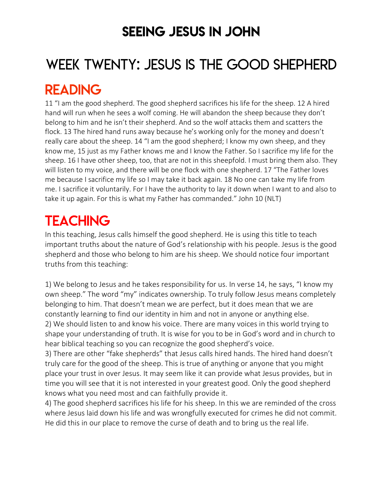### SEEING JESUS IN JOHN

# WEEK TWENTY: JESUS IS THE GOOD SHEPHERD

### READING

11 "I am the good shepherd. The good shepherd sacrifices his life for the sheep. 12 A hired hand will run when he sees a wolf coming. He will abandon the sheep because they don't belong to him and he isn't their shepherd. And so the wolf attacks them and scatters the flock. 13 The hired hand runs away because he's working only for the money and doesn't really care about the sheep. 14 "I am the good shepherd; I know my own sheep, and they know me, 15 just as my Father knows me and I know the Father. So I sacrifice my life for the sheep. 16 I have other sheep, too, that are not in this sheepfold. I must bring them also. They will listen to my voice, and there will be one flock with one shepherd. 17 "The Father loves me because I sacrifice my life so I may take it back again. 18 No one can take my life from me. I sacrifice it voluntarily. For I have the authority to lay it down when I want to and also to take it up again. For this is what my Father has commanded." John 10 (NLT)

# **TEACHING**

In this teaching, Jesus calls himself the good shepherd. He is using this title to teach important truths about the nature of God's relationship with his people. Jesus is the good shepherd and those who belong to him are his sheep. We should notice four important truths from this teaching:

1) We belong to Jesus and he takes responsibility for us. In verse 14, he says, "I know my own sheep." The word "my" indicates ownership. To truly follow Jesus means completely belonging to him. That doesn't mean we are perfect, but it does mean that we are constantly learning to find our identity in him and not in anyone or anything else. 2) We should listen to and know his voice. There are many voices in this world trying to shape your understanding of truth. It is wise for you to be in God's word and in church to hear biblical teaching so you can recognize the good shepherd's voice.

3) There are other "fake shepherds" that Jesus calls hired hands. The hired hand doesn't truly care for the good of the sheep. This is true of anything or anyone that you might place your trust in over Jesus. It may seem like it can provide what Jesus provides, but in time you will see that it is not interested in your greatest good. Only the good shepherd knows what you need most and can faithfully provide it.

4) The good shepherd sacrifices his life for his sheep. In this we are reminded of the cross where Jesus laid down his life and was wrongfully executed for crimes he did not commit. He did this in our place to remove the curse of death and to bring us the real life.